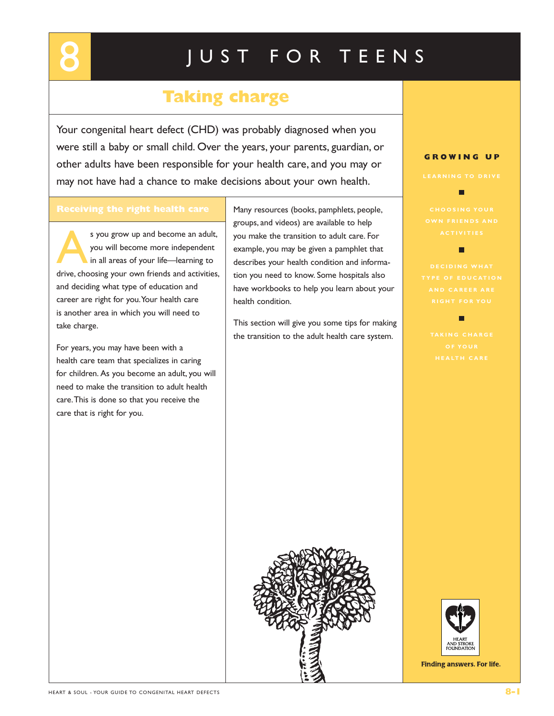# **Taking charge**

Your congenital heart defect (CHD) was probably diagnosed when you were still a baby or small child. Over the years, your parents, guardian, or other adults have been responsible for your health care, and you may or may not have had a chance to make decisions about your own health.

s you grow up and become an adult, you will become more independent in all areas of your life—learning to drive, choosing your own friends and activities, and deciding what type of education and career are right for you.Your health care is another area in which you will need to take charge.

For years, you may have been with a health care team that specializes in caring for children. As you become an adult, you will need to make the transition to adult health care.This is done so that you receive the care that is right for you.

Many resources (books, pamphlets, people, groups, and videos) are available to help you make the transition to adult care. For example, you may be given a pamphlet that describes your health condition and information you need to know. Some hospitals also have workbooks to help you learn about your health condition.

This section will give you some tips for making the transition to the adult health care system.



П

п



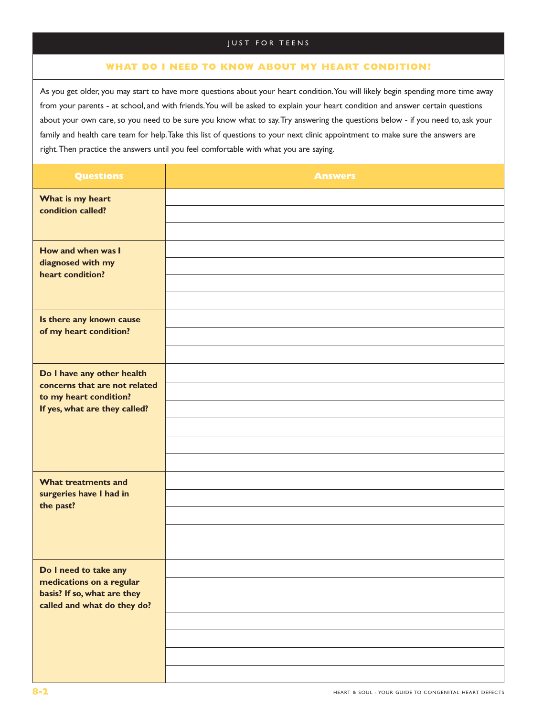# **WHAT DO I NEED TO KNOW ABOUT MY HEART CONDITION?**

As you get older, you may start to have more questions about your heart condition.You will likely begin spending more time away from your parents - at school, and with friends.You will be asked to explain your heart condition and answer certain questions about your own care, so you need to be sure you know what to say.Try answering the questions below - if you need to, ask your family and health care team for help.Take this list of questions to your next clinic appointment to make sure the answers are right.Then practice the answers until you feel comfortable with what you are saying.

| <b>Questions</b>                                                                                                       | <b>Answers</b> |
|------------------------------------------------------------------------------------------------------------------------|----------------|
| What is my heart<br>condition called?                                                                                  |                |
| How and when was I<br>diagnosed with my<br>heart condition?                                                            |                |
| Is there any known cause<br>of my heart condition?                                                                     |                |
| Do I have any other health<br>concerns that are not related<br>to my heart condition?<br>If yes, what are they called? |                |
| What treatments and<br>surgeries have I had in<br>the past?                                                            |                |
| Do I need to take any<br>medications on a regular<br>basis? If so, what are they<br>called and what do they do?        |                |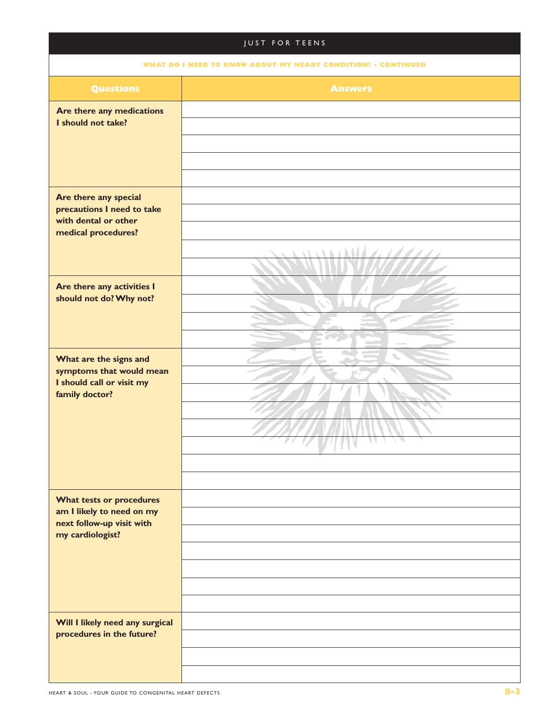|                                                        | <b>JUST FOR TEENS</b>                                        |
|--------------------------------------------------------|--------------------------------------------------------------|
|                                                        | WHAT DO I NEED TO KNOW ABOUT MY HEART CONDITION! - CONTINUED |
| <b>Questions</b>                                       | <b>Answers</b>                                               |
| Are there any medications<br>I should not take?        |                                                              |
|                                                        |                                                              |
|                                                        |                                                              |
|                                                        |                                                              |
| Are there any special                                  |                                                              |
| precautions I need to take                             |                                                              |
| with dental or other<br>medical procedures?            |                                                              |
|                                                        | <b><i>NETERMANY</i></b><br>Z.<br>A.                          |
|                                                        |                                                              |
| Are there any activities I                             |                                                              |
| should not do? Why not?                                |                                                              |
|                                                        |                                                              |
|                                                        |                                                              |
| What are the signs and<br>symptoms that would mean     | $\overline{\phantom{a}}$                                     |
| I should call or visit my                              |                                                              |
| family doctor?                                         |                                                              |
|                                                        |                                                              |
|                                                        | <u>44 1 1 1 </u><br>WAN                                      |
|                                                        |                                                              |
|                                                        |                                                              |
| What tests or procedures                               |                                                              |
| am I likely to need on my<br>next follow-up visit with |                                                              |
| my cardiologist?                                       |                                                              |
|                                                        |                                                              |
|                                                        |                                                              |
|                                                        |                                                              |
| Will I likely need any surgical                        |                                                              |
| procedures in the future?                              |                                                              |
|                                                        |                                                              |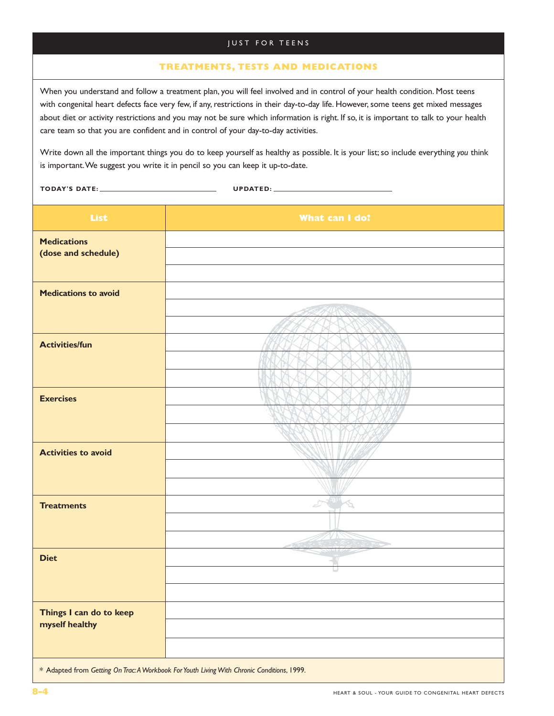#### **TREATMENTS, TESTS AND MEDICATIONS**

When you understand and follow a treatment plan, you will feel involved and in control of your health condition. Most teens with congenital heart defects face very few, if any, restrictions in their day-to-day life. However, some teens get mixed messages about diet or activity restrictions and you may not be sure which information is right. If so, it is important to talk to your health care team so that you are confident and in control of your day-to-day activities.

Write down all the important things you do to keep yourself as healthy as possible. It is your list; so include everything *you* think is important.We suggest you write it in pencil so you can keep it up-to-date.

**TODAY'S DATE: UPDATED:**

| <b>List</b>                 | What can I do?                                                                             |
|-----------------------------|--------------------------------------------------------------------------------------------|
| <b>Medications</b>          |                                                                                            |
| (dose and schedule)         |                                                                                            |
|                             |                                                                                            |
| <b>Medications to avoid</b> |                                                                                            |
|                             |                                                                                            |
|                             |                                                                                            |
| <b>Activities/fun</b>       |                                                                                            |
|                             |                                                                                            |
|                             |                                                                                            |
| <b>Exercises</b>            |                                                                                            |
|                             |                                                                                            |
|                             |                                                                                            |
| <b>Activities to avoid</b>  |                                                                                            |
|                             |                                                                                            |
|                             |                                                                                            |
| <b>Treatments</b>           | D<br>ù                                                                                     |
|                             |                                                                                            |
|                             |                                                                                            |
| <b>Diet</b>                 |                                                                                            |
|                             |                                                                                            |
|                             |                                                                                            |
| Things I can do to keep     |                                                                                            |
| myself healthy              |                                                                                            |
|                             |                                                                                            |
|                             | * Adapted from Getting On Trac: A Workbook For Youth Living With Chronic Conditions, 1999. |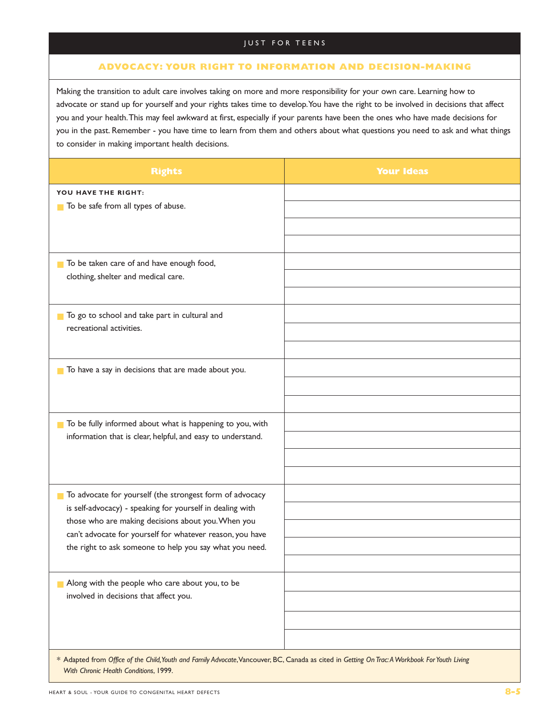## **ADVOCACY: YOUR RIGHT TO INFORMATION AND DECISION-MAKING**

Making the transition to adult care involves taking on more and more responsibility for your own care. Learning how to advocate or stand up for yourself and your rights takes time to develop.You have the right to be involved in decisions that affect you and your health.This may feel awkward at first, especially if your parents have been the ones who have made decisions for you in the past. Remember - you have time to learn from them and others about what questions you need to ask and what things to consider in making important health decisions.

| <b>Rights</b>                                                                                                                                 | <b>Your Ideas</b> |  |
|-----------------------------------------------------------------------------------------------------------------------------------------------|-------------------|--|
| YOU HAVE THE RIGHT:<br>To be safe from all types of abuse.                                                                                    |                   |  |
|                                                                                                                                               |                   |  |
|                                                                                                                                               |                   |  |
| To be taken care of and have enough food,<br>clothing, shelter and medical care.                                                              |                   |  |
|                                                                                                                                               |                   |  |
| To go to school and take part in cultural and<br>$\mathcal{L}_{\mathcal{A}}$                                                                  |                   |  |
| recreational activities.                                                                                                                      |                   |  |
|                                                                                                                                               |                   |  |
| To have a say in decisions that are made about you.<br>$\mathbf{r}$                                                                           |                   |  |
|                                                                                                                                               |                   |  |
|                                                                                                                                               |                   |  |
| To be fully informed about what is happening to you, with<br><b>The Second</b><br>information that is clear, helpful, and easy to understand. |                   |  |
|                                                                                                                                               |                   |  |
|                                                                                                                                               |                   |  |
| To advocate for yourself (the strongest form of advocacy<br>П                                                                                 |                   |  |
| is self-advocacy) - speaking for yourself in dealing with                                                                                     |                   |  |
| those who are making decisions about you. When you<br>can't advocate for yourself for whatever reason, you have                               |                   |  |
| the right to ask someone to help you say what you need.                                                                                       |                   |  |
|                                                                                                                                               |                   |  |
| Along with the people who care about you, to be                                                                                               |                   |  |
| involved in decisions that affect you.                                                                                                        |                   |  |
|                                                                                                                                               |                   |  |
|                                                                                                                                               |                   |  |
| * Adapted from Office of the Child, Youth and Family Advocate, Vancouver, BC, Canada as cited in Getting On Trac: A Workbook For Youth Living |                   |  |

*With Chronic Health Conditions*, 1999.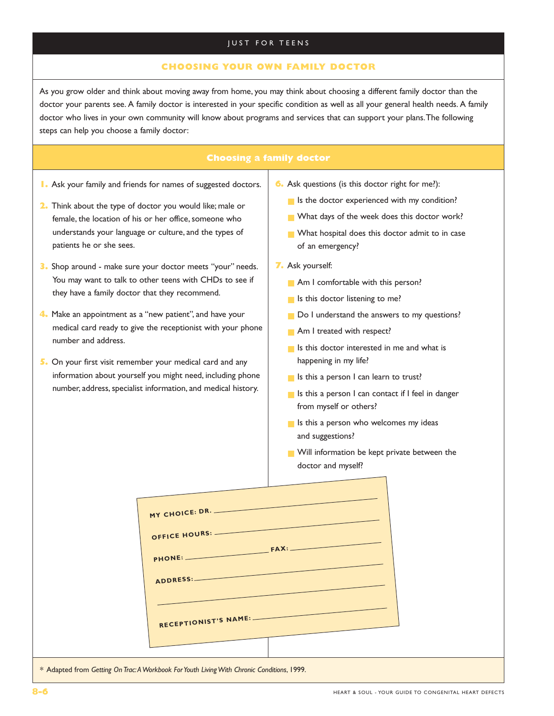### **CHOOSING YOUR OWN FAMILY DOCTOR**

As you grow older and think about moving away from home, you may think about choosing a different family doctor than the doctor your parents see. A family doctor is interested in your specific condition as well as all your general health needs. A family doctor who lives in your own community will know about programs and services that can support your plans.The following steps can help you choose a family doctor:

#### **Choosing a family doctor**

- **1.** Ask your family and friends for names of suggested doctors.
- **2.** Think about the type of doctor you would like; male or female, the location of his or her office, someone who understands your language or culture, and the types of patients he or she sees.
- **3.** Shop around make sure your doctor meets "your" needs. You may want to talk to other teens with CHDs to see if they have a family doctor that they recommend.
- **4.** Make an appointment as a "new patient", and have your medical card ready to give the receptionist with your phone number and address.
- **5.** On your first visit remember your medical card and any information about yourself you might need, including phone number, address, specialist information, and medical history.
- **6.** Ask questions (is this doctor right for me?):
	- Is the doctor experienced with my condition?
	- What days of the week does this doctor work?
	- What hospital does this doctor admit to in case of an emergency?
- **7.** Ask yourself:
	- Am I comfortable with this person?
	- Is this doctor listening to me?
	- Do I understand the answers to my questions?
	- Am I treated with respect?
	- Is this doctor interested in me and what is happening in my life?
	- Is this a person I can learn to trust?
	- Is this a person I can contact if I feel in danger from myself or others?
	- Is this a person who welcomes my ideas and suggestions?
	- Will information be kept private between the doctor and myself?

| MY CHOICE: DR.                                                                             |
|--------------------------------------------------------------------------------------------|
| OFFICE HOURS: -                                                                            |
| <b>FAX:</b><br>PHONE:                                                                      |
| ADDRESS:                                                                                   |
|                                                                                            |
| RECEPTIONIST'S NAME:                                                                       |
|                                                                                            |
| * Adapted from Getting On Trac: A Workbook For Youth Living With Chronic Conditions, 1999. |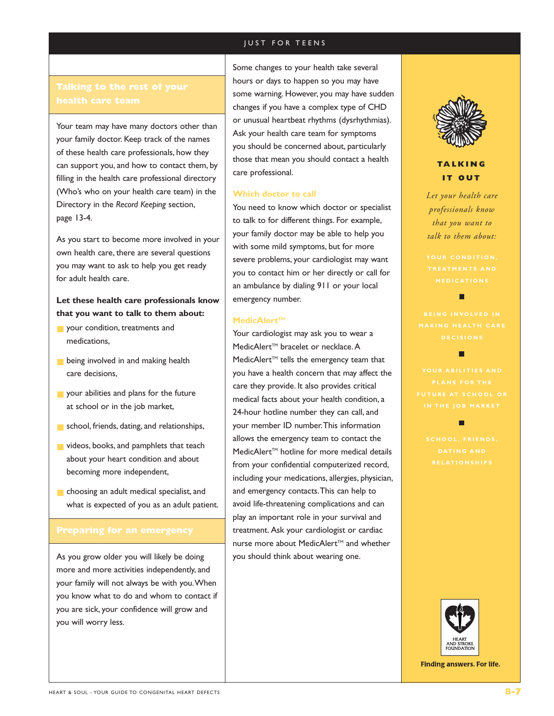# **health care team**

Your team may have many doctors other than your family doctor. Keep track of the names of these health care professionals, how they can support you, and how to contact them, by filling in the health care professional directory (Who's who on your health care team) in the Directory in the *Record Keeping* section, page 13-4.

As you start to become more involved in your own health care, there are several questions you may want to ask to help you get ready for adult health care.

# **Let these health care professionals know that you want to talk to them about:**

- your condition, treatments and medications,
- **B** being involved in and making health care decisions,
- your abilities and plans for the future at school or in the job market,
- school, friends, dating, and relationships,
- videos, books, and pamphlets that teach about your heart condition and about becoming more independent,
- choosing an adult medical specialist, and what is expected of you as an adult patient.

As you grow older you will likely be doing more and more activities independently, and your family will not always be with you.When you know what to do and whom to contact if you are sick, your confidence will grow and you will worry less.

Some changes to your health take several hours or days to happen so you may have some warning. However, you may have sudden changes if you have a complex type of CHD or unusual heartbeat rhythms (dysrhythmias). Ask your health care team for symptoms you should be concerned about, particularly those that mean you should contact a health care professional.

#### **Which doctor to call**

You need to know which doctor or specialist to talk to for different things. For example, your family doctor may be able to help you with some mild symptoms, but for more severe problems, your cardiologist may want you to contact him or her directly or call for an ambulance by dialing 911 or your local emergency number.

#### **MedicAlert™**

Your cardiologist may ask you to wear a MedicAlert<sup>™</sup> bracelet or necklace. A  $MedicAlert<sup>TM</sup>$  tells the emergency team that you have a health concern that may affect the care they provide. It also provides critical medical facts about your health condition, a 24-hour hotline number they can call, and your member ID number.This information allows the emergency team to contact the MedicAlert<sup>™</sup> hotline for more medical details from your confidential computerized record, including your medications, allergies, physician, and emergency contacts.This can help to avoid life-threatening complications and can play an important role in your survival and treatment. Ask your cardiologist or cardiac nurse more about MedicAlert™ and whether you should think about wearing one.



# **TALKING IT OUT**

*Let your health care professionals know that you want to talk to them about:*

п

п

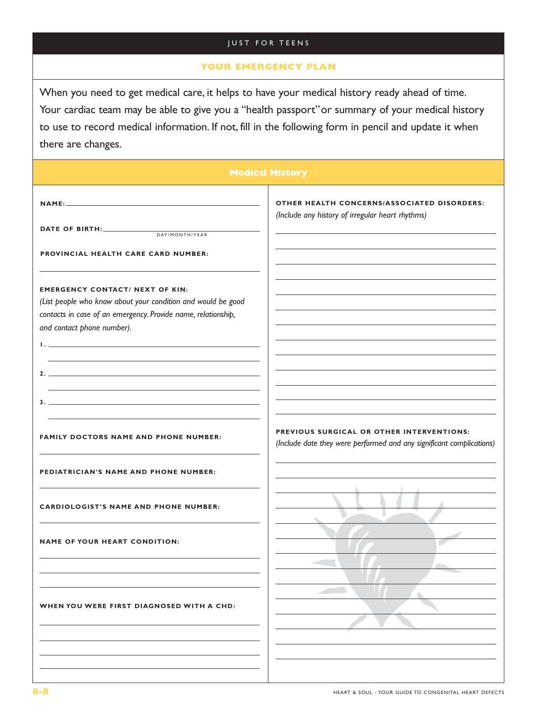# **YOUR EMERGENCY PLAN**

When you need to get medical care, it helps to have your medical history ready ahead of time. Your cardiac team may be able to give you a "health passport" or summary of your medical history to use to record medical information. If not, fill in the following form in pencil and update it when there are changes.

| <b>Medical History</b>                                                                                                                                                                                                                                                                   |                                                                                                                   |  |
|------------------------------------------------------------------------------------------------------------------------------------------------------------------------------------------------------------------------------------------------------------------------------------------|-------------------------------------------------------------------------------------------------------------------|--|
|                                                                                                                                                                                                                                                                                          | OTHER HEALTH CONCERNS/ASSOCIATED DISORDERS:<br>(Include any history of irregular heart rhythms)                   |  |
| DATE OF BIRTH:<br>DAY/MONTH/YEAR                                                                                                                                                                                                                                                         |                                                                                                                   |  |
| <b>PROVINCIAL HEALTH CARE CARD NUMBER:</b>                                                                                                                                                                                                                                               |                                                                                                                   |  |
| <b>EMERGENCY CONTACT/ NEXT OF KIN:</b><br>(List people who know about your condition and would be good<br>contacts in case of an emergency. Provide name, relationship,<br>and contact phone number).<br>the contract of the contract of the contract of the contract of the contract of |                                                                                                                   |  |
|                                                                                                                                                                                                                                                                                          |                                                                                                                   |  |
|                                                                                                                                                                                                                                                                                          |                                                                                                                   |  |
| <b>FAMILY DOCTORS NAME AND PHONE NUMBER:</b>                                                                                                                                                                                                                                             | PREVIOUS SURGICAL OR OTHER INTERVENTIONS:<br>(Include date they were performed and any significant complications) |  |
| PEDIATRICIAN'S NAME AND PHONE NUMBER:                                                                                                                                                                                                                                                    |                                                                                                                   |  |
| <b>CARDIOLOGIST'S NAME AND PHONE NUMBER:</b>                                                                                                                                                                                                                                             |                                                                                                                   |  |
| <b>NAME OF YOUR HEART CONDITION:</b>                                                                                                                                                                                                                                                     |                                                                                                                   |  |
| WHEN YOU WERE FIRST DIAGNOSED WITH A CHD:                                                                                                                                                                                                                                                |                                                                                                                   |  |
|                                                                                                                                                                                                                                                                                          |                                                                                                                   |  |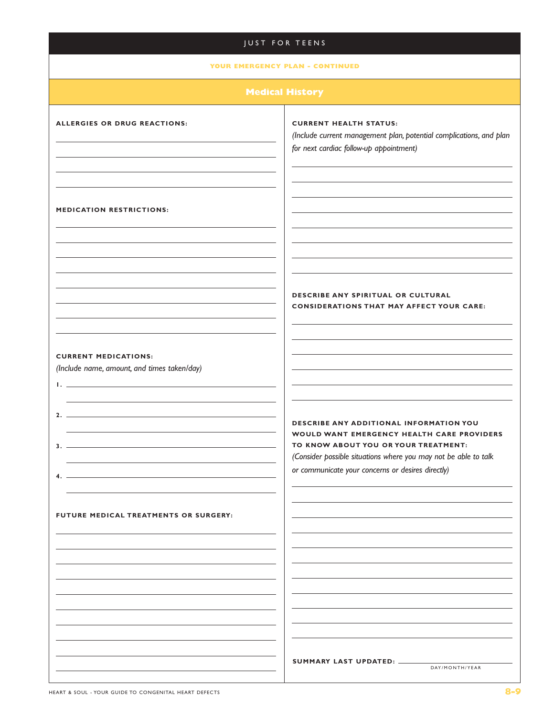#### **YOUR EMERGENCY PLAN - CONTINUED**

#### **ALLERGIES OR DRUG REACTIONS:**

#### **CURRENT HEALTH STATUS:**

*(Include current management plan, potential complications, and plan for next cardiac follow-up appointment)*

#### **MEDICATION RESTRICTIONS:**

#### **DESCRIBE ANY SPIRITUAL OR CULTURAL CONSIDERATIONS THAT MAY AFFECT YOUR CARE:**

#### **CURRENT MEDICATIONS:**

**1.**

**3.**

**4.**

*(Include name, amount, and times taken/day)*

**2.**

## **DESCRIBE ANY ADDITIONAL INFORMATION YOU WOULD WANT EMERGENCY HEALTH CARE PROVIDERS TO KNOW ABOUT YOU OR YOUR TREATMENT:**

*(Consider possible situations where you may not be able to talk or communicate your concerns or desires directly)*

**FUTURE MEDICAL TREATMENTS OR SURGERY:**

**SUMMARY LAST UPDATED:**

DAY/MONTH/YEAR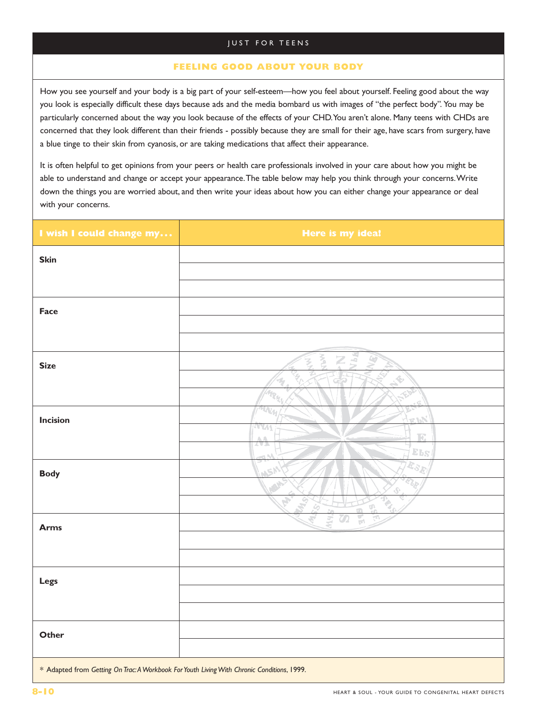### **FEELING GOOD ABOUT YOUR BODY**

How you see yourself and your body is a big part of your self-esteem—how you feel about yourself. Feeling good about the way you look is especially difficult these days because ads and the media bombard us with images of "the perfect body". You may be particularly concerned about the way you look because of the effects of your CHD.You aren't alone. Many teens with CHDs are concerned that they look different than their friends - possibly because they are small for their age, have scars from surgery, have a blue tinge to their skin from cyanosis, or are taking medications that affect their appearance.

It is often helpful to get opinions from your peers or health care professionals involved in your care about how you might be able to understand and change or accept your appearance.The table below may help you think through your concerns.Write down the things you are worried about, and then write your ideas about how you can either change your appearance or deal with your concerns.

| I wish I could change my                                                                   | Here is my idea!                                                       |
|--------------------------------------------------------------------------------------------|------------------------------------------------------------------------|
| <b>Skin</b>                                                                                |                                                                        |
|                                                                                            |                                                                        |
|                                                                                            |                                                                        |
| Face                                                                                       |                                                                        |
|                                                                                            |                                                                        |
|                                                                                            |                                                                        |
| <b>Size</b>                                                                                | $Z_{\rm d}$<br>Š<br>L)                                                 |
|                                                                                            | $\blacklozenge$<br>අ                                                   |
|                                                                                            | Mar.                                                                   |
|                                                                                            | G<br>$\pi_{\mathcal{N}_H}$                                             |
| <b>Incision</b>                                                                            | <b>K.LN</b><br><b>AYAA</b>                                             |
|                                                                                            | T.<br>$\triangle$ $\triangle$<br>7A D<br>$E_{BS}$                      |
|                                                                                            | id N<br>$\overline{\mathcal{R}}_{\mathcal{S} \overline{\mathcal{R}}}/$ |
| <b>Body</b>                                                                                | <b>USP</b>                                                             |
|                                                                                            | $\hat{v}$<br>É,<br>G.                                                  |
|                                                                                            | $\mathcal{P}_0$<br>$\frac{1}{2}$<br>राज<br>स<br>$\sigma$               |
| <b>Arms</b>                                                                                |                                                                        |
|                                                                                            |                                                                        |
|                                                                                            |                                                                        |
| Legs                                                                                       |                                                                        |
|                                                                                            |                                                                        |
|                                                                                            |                                                                        |
| Other                                                                                      |                                                                        |
|                                                                                            |                                                                        |
| * Adapted from Getting On Trac: A Workbook For Youth Living With Chronic Conditions, 1999. |                                                                        |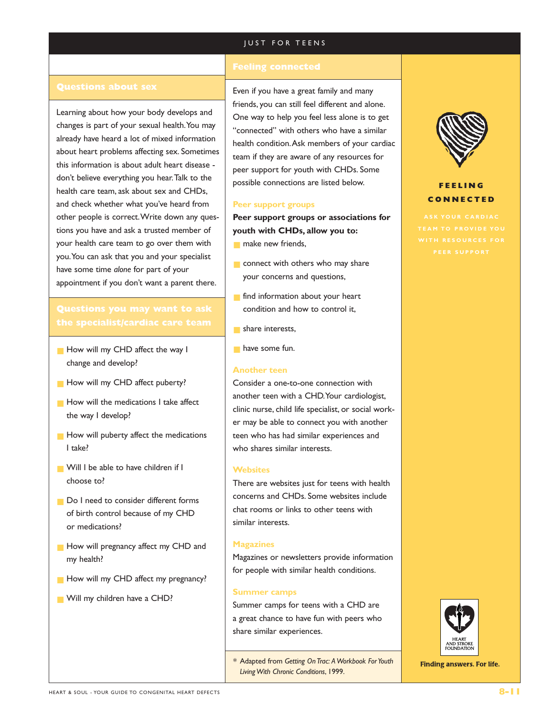#### **Questions about sex**

Learning about how your body develops and changes is part of your sexual health.You may already have heard a lot of mixed information about heart problems affecting sex. Sometimes this information is about adult heart disease don't believe everything you hear.Talk to the health care team, ask about sex and CHDs, and check whether what you've heard from other people is correct.Write down any questions you have and ask a trusted member of your health care team to go over them with you.You can ask that you and your specialist have some time *alone* for part of your appointment if you don't want a parent there.

# **Questions you may want to ask**

- How will my CHD affect the way I change and develop?
- **B** How will my CHD affect puberty?
- How will the medications I take affect the way I develop?
- How will puberty affect the medications I take?
- Will I be able to have children if I choose to?
- Do I need to consider different forms of birth control because of my CHD or medications?
- How will pregnancy affect my CHD and my health?
- How will my CHD affect my pregnancy?
- Will my children have a CHD?

Even if you have a great family and many friends, you can still feel different and alone. One way to help you feel less alone is to get "connected" with others who have a similar health condition.Ask members of your cardiac team if they are aware of any resources for peer support for youth with CHDs. Some possible connections are listed below.

#### **Peer support groups**

**Peer support groups or associations for youth with CHDs, allow you to:**

- make new friends,
- connect with others who may share your concerns and questions,
- find information about your heart condition and how to control it,
- share interests,
- have some fun.

#### **Another teen**

Consider a one-to-one connection with another teen with a CHD.Your cardiologist, clinic nurse, child life specialist, or social worker may be able to connect you with another teen who has had similar experiences and who shares similar interests.

#### **Websites**

There are websites just for teens with health concerns and CHDs. Some websites include chat rooms or links to other teens with similar interests.

#### **Magazines**

Magazines or newsletters provide information for people with similar health conditions.

#### **Summer camps**

Summer camps for teens with a CHD are a great chance to have fun with peers who share similar experiences.

*\** Adapted from *Getting On Trac: A Workbook For Youth Living With Chronic Conditions*, 1999.



## **FEELING CONNECTED**

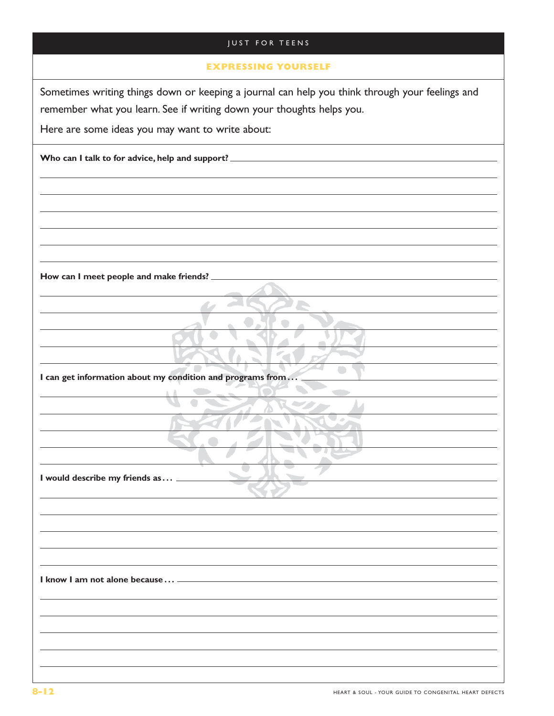| <b>JUST FOR TEENS</b>                                                                                                                                                                                                        |
|------------------------------------------------------------------------------------------------------------------------------------------------------------------------------------------------------------------------------|
| <b>EXPRESSING YOURSELF</b>                                                                                                                                                                                                   |
| Sometimes writing things down or keeping a journal can help you think through your feelings and<br>remember what you learn. See if writing down your thoughts helps you.<br>Here are some ideas you may want to write about: |
| Who can I talk to for advice, help and support? _                                                                                                                                                                            |
|                                                                                                                                                                                                                              |
|                                                                                                                                                                                                                              |
|                                                                                                                                                                                                                              |
|                                                                                                                                                                                                                              |
| How can I meet people and make friends?                                                                                                                                                                                      |
|                                                                                                                                                                                                                              |
|                                                                                                                                                                                                                              |
|                                                                                                                                                                                                                              |
| I can get information about my condition and programs from                                                                                                                                                                   |
|                                                                                                                                                                                                                              |
|                                                                                                                                                                                                                              |
|                                                                                                                                                                                                                              |
| I would describe my friends as                                                                                                                                                                                               |
|                                                                                                                                                                                                                              |
|                                                                                                                                                                                                                              |
|                                                                                                                                                                                                                              |
| I know I am not alone because  -                                                                                                                                                                                             |
|                                                                                                                                                                                                                              |
|                                                                                                                                                                                                                              |
|                                                                                                                                                                                                                              |
|                                                                                                                                                                                                                              |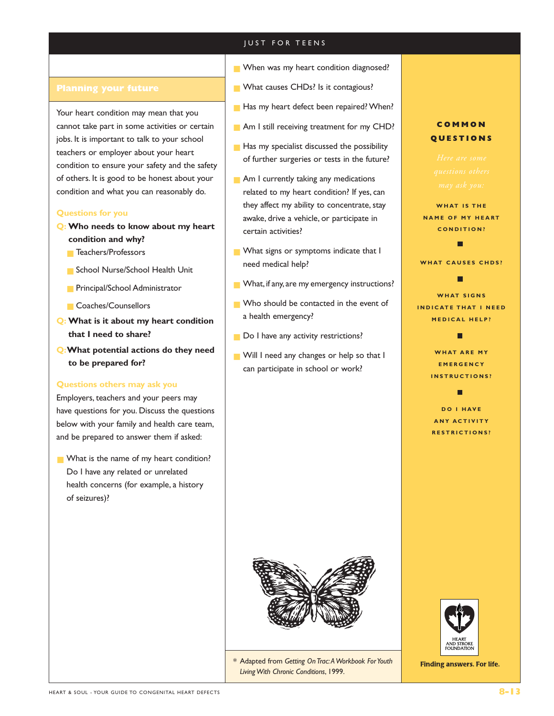Your heart condition may mean that you cannot take part in some activities or certain jobs. It is important to talk to your school teachers or employer about your heart condition to ensure your safety and the safety of others. It is good to be honest about your condition and what you can reasonably do.

### **Questions for you**

- **Q: Who needs to know about my heart condition and why?**
	- Teachers/Professors
	- School Nurse/School Health Unit
	- Principal/School Administrator
	- Coaches/Counsellors
- **Q: What is it about my heart condition that I need to share?**
- **Q:What potential actions do they need to be prepared for?**

#### **Questions others may ask you**

Employers, teachers and your peers may have questions for you. Discuss the questions below with your family and health care team, and be prepared to answer them if asked:

■ What is the name of my heart condition? Do I have any related or unrelated health concerns (for example, a history of seizures)?

- When was my heart condition diagnosed?
- What causes CHDs? Is it contagious?
- Has my heart defect been repaired? When?
- Am I still receiving treatment for my CHD?
- Has my specialist discussed the possibility of further surgeries or tests in the future?
- Am I currently taking any medications related to my heart condition? If yes, can they affect my ability to concentrate, stay awake, drive a vehicle, or participate in certain activities?
- What signs or symptoms indicate that I need medical help?
- What, if any, are my emergency instructions?
- Who should be contacted in the event of a health emergency?
- Do I have any activity restrictions?
- Will I need any changes or help so that I can participate in school or work?



WHAT IS THE **NAME OF MY HEART CONDITION?**

**WHAT CAUSES CHDS?** п

# **WHAT SIGNS INDICATE THAT I NEED**

**MEDICAL HELP?** г

**WHAT ARE MY EMERGENCY INSTRUCTIONS?**

г

**DO I HAVE ANY ACTIVITY RESTRICTIONS?**



*\** Adapted from *Getting On Trac:A Workbook For Youth Living With Chronic Conditions*, 1999.

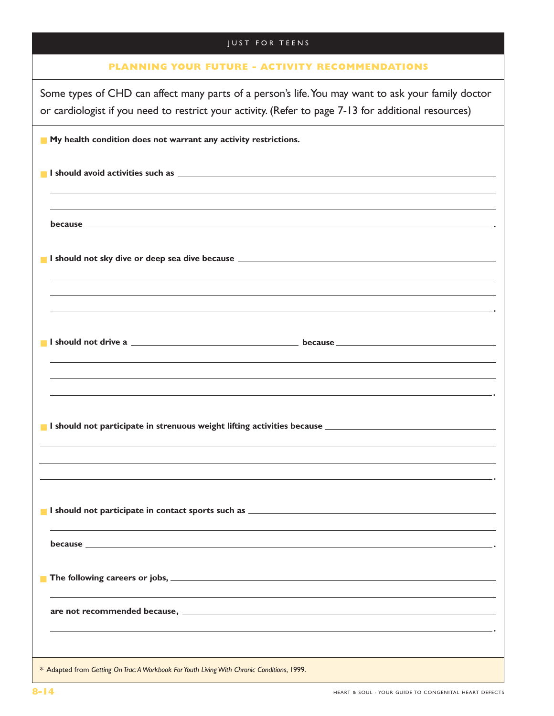| <b>JUST FOR TEENS</b>                                                                                                                                                                                                          |
|--------------------------------------------------------------------------------------------------------------------------------------------------------------------------------------------------------------------------------|
| <b>PLANNING YOUR FUTURE - ACTIVITY RECOMMENDATIONS</b>                                                                                                                                                                         |
| Some types of CHD can affect many parts of a person's life. You may want to ask your family doctor<br>or cardiologist if you need to restrict your activity. (Refer to page 7-13 for additional resources)                     |
| My health condition does not warrant any activity restrictions.                                                                                                                                                                |
| I should avoid activities such as \\espirit \\espirit \\espirit \\espirit \\espirit \\espirit \\espirit \\espirit \\espirit \\espirit \\espirit \\espirit \\espirit \\espirit \\espirit \\espirit \\espirit \\espirit \\espiri |
| ,我们也不会有什么。""我们的人,我们也不会有什么?""我们的人,我们也不会有什么?""我们的人,我们也不会有什么?""我们的人,我们也不会有什么?""我们的人                                                                                                                                               |
|                                                                                                                                                                                                                                |
| ,我们也不能在这里的时候,我们也不能在这里的时候,我们也不能会在这里的时候,我们也不能会在这里的时候,我们也不能会在这里的时候,我们也不能会在这里的时候,我们也不<br><u> 1989 - Andrea Santa Alemania, amerikana amerikana amerikana amerikana amerikana amerikana amerikana amerikan</u>                      |
|                                                                                                                                                                                                                                |
| ,我们也不会有什么。""我们的人,我们也不会有什么?""我们的人,我们也不会有什么?""我们的人,我们也不会有什么?""我们的人,我们也不会有什么?""我们的人<br><u> 1986 - Andrea Santa Andrea Santa Andrea Santa Andrea Santa Andrea Santa Andrea Santa Andrea Santa Andrea San</u>                       |
|                                                                                                                                                                                                                                |
|                                                                                                                                                                                                                                |
|                                                                                                                                                                                                                                |
|                                                                                                                                                                                                                                |
|                                                                                                                                                                                                                                |
|                                                                                                                                                                                                                                |
|                                                                                                                                                                                                                                |
| * Adapted from Getting On Trac: A Workbook For Youth Living With Chronic Conditions, 1999.                                                                                                                                     |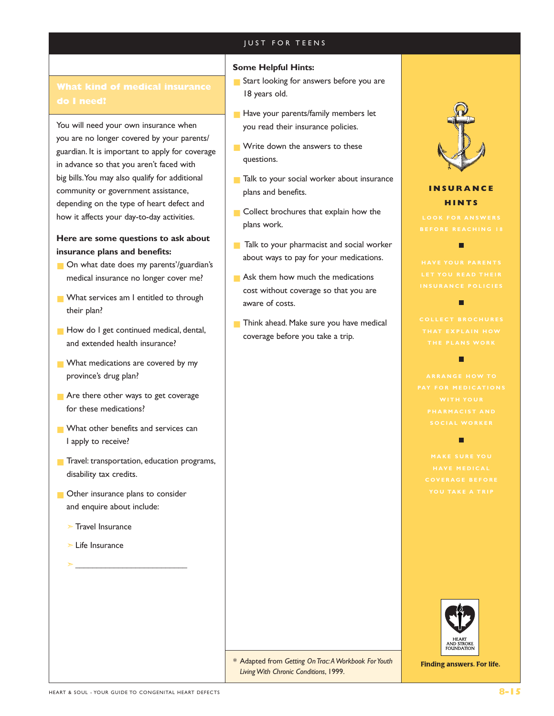### **Some Helpful Hints:**

- Start looking for answers before you are 18 years old.
- Have your parents/family members let you read their insurance policies.
- Write down the answers to these questions.
- Talk to your social worker about insurance plans and benefits.
- Collect brochures that explain how the plans work.
- Talk to your pharmacist and social worker about ways to pay for your medications.
- Ask them how much the medications cost without coverage so that you are aware of costs.
- Think ahead. Make sure you have medical coverage before you take a trip.



# **INSURANCE HINTS**

п

П



**Finding answers. For life.** 

You will need your own insurance when you are no longer covered by your parents/ guardian. It is important to apply for coverage in advance so that you aren't faced with big bills.You may also qualify for additional community or government assistance, depending on the type of heart defect and how it affects your day-to-day activities.

# **Here are some questions to ask about insurance plans and benefits:**

- On what date does my parents'/guardian's medical insurance no longer cover me?
- What services am I entitled to through their plan?
- How do I get continued medical, dental, and extended health insurance?
- What medications are covered by my province's drug plan?
- Are there other ways to get coverage for these medications?
- What other benefits and services can I apply to receive?
- Travel: transportation, education programs, disability tax credits.
- Other insurance plans to consider and enquire about include:

➣\_\_\_\_\_\_\_\_\_\_\_\_\_\_\_\_\_\_\_\_\_\_\_\_\_\_

- ➣Travel Insurance
- ➣Life Insurance

*\** Adapted from *Getting On Trac:A Workbook For Youth Living With Chronic Conditions*, 1999.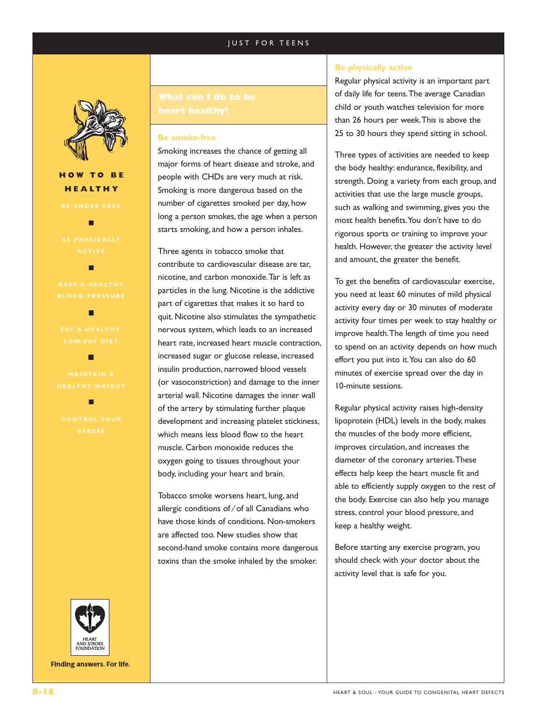

# **HOW TO BE HEALTHY**

г

г



**Finding answers. For life.** 

#### **Be smoke-free**

Smoking increases the chance of getting all major forms of heart disease and stroke, and people with CHDs are very much at risk. Smoking is more dangerous based on the number of cigarettes smoked per day, how long a person smokes, the age when a person starts smoking, and how a person inhales.

Three agents in tobacco smoke that contribute to cardiovascular disease are tar, nicotine, and carbon monoxide.Tar is left as particles in the lung. Nicotine is the addictive part of cigarettes that makes it so hard to quit. Nicotine also stimulates the sympathetic nervous system, which leads to an increased heart rate, increased heart muscle contraction, increased sugar or glucose release, increased insulin production, narrowed blood vessels (or vasoconstriction) and damage to the inner arterial wall. Nicotine damages the inner wall of the artery by stimulating further plaque development and increasing platelet stickiness, which means less blood flow to the heart muscle. Carbon monoxide reduces the oxygen going to tissues throughout your body, including your heart and brain.

Tobacco smoke worsens heart, lung, and allergic conditions of ⁄ of all Canadians who have those kinds of conditions. Non-smokers are affected too. New studies show that second-hand smoke contains more dangerous toxins than the smoke inhaled by the smoker.

#### **Be physically active**

Regular physical activity is an important part of daily life for teens.The average Canadian child or youth watches television for more than 26 hours per week.This is above the 25 to 30 hours they spend sitting in school.

Three types of activities are needed to keep the body healthy: endurance, flexibility, and strength. Doing a variety from each group, and activities that use the large muscle groups, such as walking and swimming, gives you the most health benefits.You don't have to do rigorous sports or training to improve your health. However, the greater the activity level and amount, the greater the benefit.

To get the benefits of cardiovascular exercise, you need at least 60 minutes of mild physical activity every day or 30 minutes of moderate activity four times per week to stay healthy or improve health.The length of time you need to spend on an activity depends on how much effort you put into it.You can also do 60 minutes of exercise spread over the day in 10-minute sessions.

Regular physical activity raises high-density lipoprotein (HDL) levels in the body, makes the muscles of the body more efficient, improves circulation, and increases the diameter of the coronary arteries.These effects help keep the heart muscle fit and able to efficiently supply oxygen to the rest of the body. Exercise can also help you manage stress, control your blood pressure, and keep a healthy weight.

Before starting any exercise program, you should check with your doctor about the activity level that is safe for you.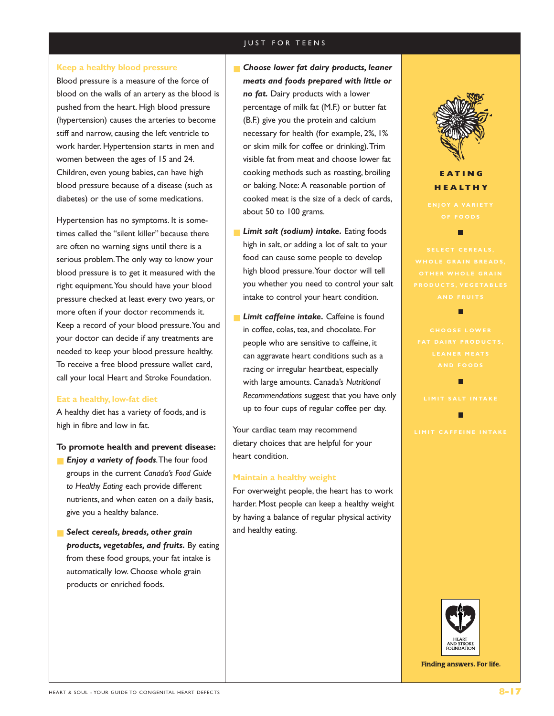#### **Keep a healthy blood pressure**

Blood pressure is a measure of the force of blood on the walls of an artery as the blood is pushed from the heart. High blood pressure (hypertension) causes the arteries to become stiff and narrow, causing the left ventricle to work harder. Hypertension starts in men and women between the ages of 15 and 24. Children, even young babies, can have high blood pressure because of a disease (such as diabetes) or the use of some medications.

Hypertension has no symptoms. It is sometimes called the "silent killer" because there are often no warning signs until there is a serious problem.The only way to know your blood pressure is to get it measured with the right equipment.You should have your blood pressure checked at least every two years, or more often if your doctor recommends it. Keep a record of your blood pressure.You and your doctor can decide if any treatments are needed to keep your blood pressure healthy. To receive a free blood pressure wallet card, call your local Heart and Stroke Foundation.

#### **Eat a healthy, low-fat diet**

A healthy diet has a variety of foods, and is high in fibre and low in fat.

#### **To promote health and prevent disease:**

- **Enjoy a variety of foods**. The four food groups in the current *Canada's Food Guide to Healthy Eating* each provide different nutrients, and when eaten on a daily basis, give you a healthy balance.
- *Select cereals, breads, other grain products, vegetables, and fruits.* By eating from these food groups, your fat intake is automatically low. Choose whole grain products or enriched foods.
- **Choose lower fat dairy products, leaner** *meats and foods prepared with little or no fat.* Dairy products with a lower percentage of milk fat (M.F.) or butter fat (B.F.) give you the protein and calcium necessary for health (for example, 2%, 1% or skim milk for coffee or drinking).Trim visible fat from meat and choose lower fat cooking methods such as roasting, broiling or baking. Note: A reasonable portion of cooked meat is the size of a deck of cards, about 50 to 100 grams.
- **Limit salt (sodium) intake.** Eating foods high in salt, or adding a lot of salt to your food can cause some people to develop high blood pressure.Your doctor will tell you whether you need to control your salt intake to control your heart condition.
- **Limit caffeine intake.** Caffeine is found in coffee, colas, tea, and chocolate. For people who are sensitive to caffeine, it can aggravate heart conditions such as a racing or irregular heartbeat, especially with large amounts. Canada's *Nutritional Recommendations* suggest that you have only up to four cups of regular coffee per day.

Your cardiac team may recommend dietary choices that are helpful for your heart condition.

#### **Maintain a healthy weight**

For overweight people, the heart has to work harder. Most people can keep a healthy weight by having a balance of regular physical activity and healthy eating.



# **EATING HEALTHY**

п

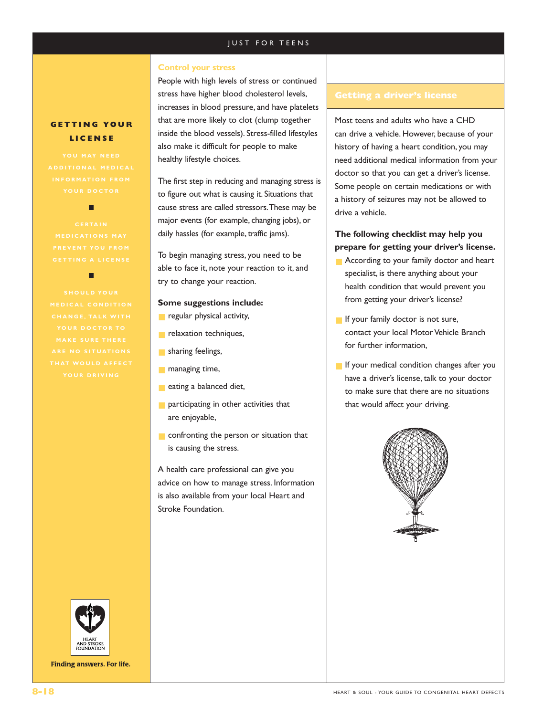#### **Control your stress**

People with high levels of stress or continued stress have higher blood cholesterol levels, increases in blood pressure, and have platelets that are more likely to clot (clump together inside the blood vessels). Stress-filled lifestyles also make it difficult for people to make healthy lifestyle choices.

The first step in reducing and managing stress is to figure out what is causing it. Situations that cause stress are called stressors.These may be major events (for example, changing jobs), or daily hassles (for example, traffic jams).

To begin managing stress, you need to be able to face it, note your reaction to it, and try to change your reaction.

#### **Some suggestions include:**

- regular physical activity,
- relaxation techniques,
- **B** sharing feelings,
- managing time,
- **B** eating a balanced diet,
- participating in other activities that are enjoyable,
- confronting the person or situation that is causing the stress.

A health care professional can give you advice on how to manage stress. Information is also available from your local Heart and Stroke Foundation.

Most teens and adults who have a CHD can drive a vehicle. However, because of your history of having a heart condition, you may need additional medical information from your doctor so that you can get a driver's license. Some people on certain medications or with a history of seizures may not be allowed to drive a vehicle.

# **The following checklist may help you prepare for getting your driver's license.**

- According to your family doctor and heart specialist, is there anything about your health condition that would prevent you from getting your driver's license?
- **If your family doctor is not sure,** contact your local Motor Vehicle Branch for further information,
- If your medical condition changes after you have a driver's license, talk to your doctor to make sure that there are no situations that would affect your driving.



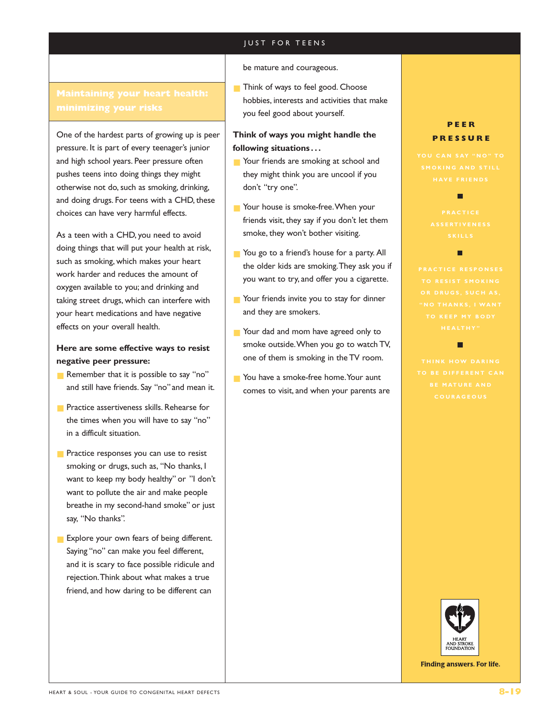One of the hardest parts of growing up is peer pressure. It is part of every teenager's junior and high school years. Peer pressure often pushes teens into doing things they might otherwise not do, such as smoking, drinking, and doing drugs. For teens with a CHD, these choices can have very harmful effects.

As a teen with a CHD, you need to avoid doing things that will put your health at risk, such as smoking, which makes your heart work harder and reduces the amount of oxygen available to you; and drinking and taking street drugs, which can interfere with your heart medications and have negative effects on your overall health.

# **Here are some effective ways to resist negative peer pressure:**

- Remember that it is possible to say "no" and still have friends. Say "no"and mean it.
- Practice assertiveness skills. Rehearse for the times when you will have to say "no" in a difficult situation.
- Practice responses you can use to resist smoking or drugs, such as, "No thanks, I want to keep my body healthy" or "I don't want to pollute the air and make people breathe in my second-hand smoke" or just say, "No thanks".
- Explore your own fears of being different. Saying "no" can make you feel different, and it is scary to face possible ridicule and rejection.Think about what makes a true friend, and how daring to be different can

#### be mature and courageous.

■ Think of ways to feel good. Choose hobbies, interests and activities that make you feel good about yourself.

# **Think of ways you might handle the following situations . . .**

- Your friends are smoking at school and they might think you are uncool if you don't "try one".
- Your house is smoke-free. When your friends visit, they say if you don't let them smoke, they won't bother visiting.
- You go to a friend's house for a party. All the older kids are smoking.They ask you if you want to try, and offer you a cigarette.
- Your friends invite you to stay for dinner and they are smokers.
- Your dad and mom have agreed only to smoke outside.When you go to watch TV, one of them is smoking in the TV room.
- You have a smoke-free home. Your aunt comes to visit, and when your parents are

# **PEER PRESSURE**

г

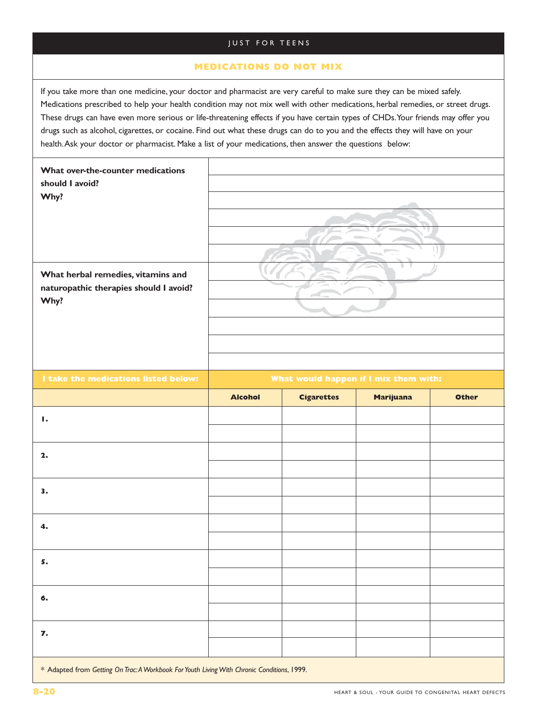# **MEDICATIONS DO NOT MIX**

If you take more than one medicine, your doctor and pharmacist are very careful to make sure they can be mixed safely. Medications prescribed to help your health condition may not mix well with other medications, herbal remedies, or street drugs. These drugs can have even more serious or life-threatening effects if you have certain types of CHDs.Your friends may offer you drugs such as alcohol, cigarettes, or cocaine. Find out what these drugs can do to you and the effects they will have on your health.Ask your doctor or pharmacist. Make a list of your medications, then answer the questions below:

| What over-the-counter medications<br>should I avoid?<br>Why?<br>What herbal remedies, vitamins and<br>naturopathic therapies should I avoid?<br>Why? |                                       |                   |                  |              |
|------------------------------------------------------------------------------------------------------------------------------------------------------|---------------------------------------|-------------------|------------------|--------------|
| I take the medications listed below:                                                                                                                 | What would happen if I mix them with: |                   |                  |              |
|                                                                                                                                                      | <b>Alcohol</b>                        | <b>Cigarettes</b> | <b>Marijuana</b> | <b>Other</b> |
| Ι.                                                                                                                                                   |                                       |                   |                  |              |
| 2.                                                                                                                                                   |                                       |                   |                  |              |
| 3.                                                                                                                                                   |                                       |                   |                  |              |
| 4.                                                                                                                                                   |                                       |                   |                  |              |
| 5.                                                                                                                                                   |                                       |                   |                  |              |
| 6.                                                                                                                                                   |                                       |                   |                  |              |
| 7.                                                                                                                                                   |                                       |                   |                  |              |
| * Adapted from Getting On Trac: A Workbook For Youth Living With Chronic Conditions, 1999.                                                           |                                       |                   |                  |              |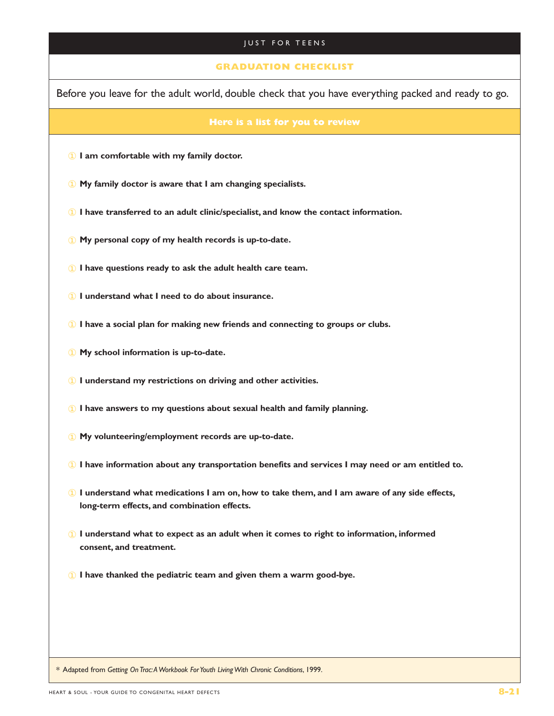### **GRADUATION CHECKLIST**

Before you leave for the adult world, double check that you have everything packed and ready to go.

- **I am comfortable with my family doctor.**
- **My family doctor is aware that I am changing specialists.**
- **I have transferred to an adult clinic/specialist, and know the contact information.**
- **My personal copy of my health records is up-to-date.**
- **I have questions ready to ask the adult health care team.**
- **I understand what I need to do about insurance.**
- **I have a social plan for making new friends and connecting to groups or clubs.**
- **My school information is up-to-date.**
- **I understand my restrictions on driving and other activities.**
- **I have answers to my questions about sexual health and family planning.**
- **My volunteering/employment records are up-to-date.**
- **I have information about any transportation benefits and services I may need or am entitled to.**
- **I understand what medications I am on, how to take them, and I am aware of any side effects, long-term effects, and combination effects.**
- **I understand what to expect as an adult when it comes to right to information, informed consent, and treatment.**
- **I have thanked the pediatric team and given them a warm good-bye.**

*\** Adapted from *Getting On Trac:A Workbook For Youth Living With Chronic Conditions*, 1999.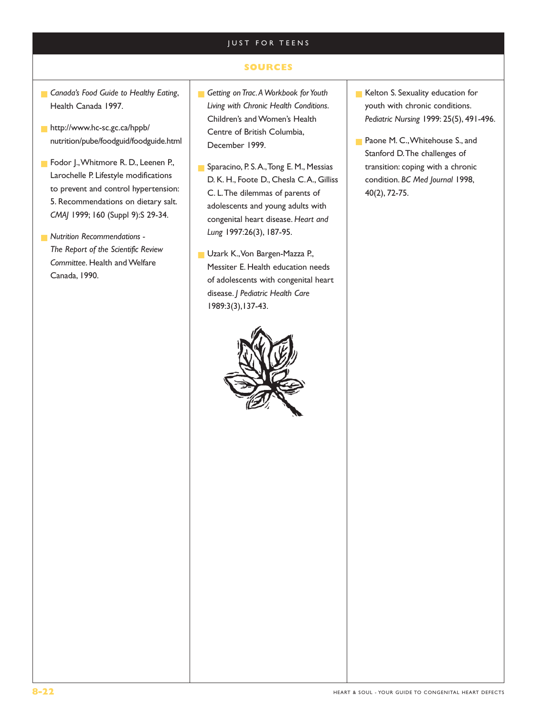# **SOURCES**

- **Canada's Food Guide to Healthy Eating,** Health Canada 1997.
- http://www.hc-sc.gc.ca/hppb/ nutrition/pube/foodguid/foodguide.html
- Fodor J., Whitmore R. D., Leenen P., Larochelle P. Lifestyle modifications to prevent and control hypertension: 5. Recommendations on dietary salt. *CMAJ* 1999; 160 (Suppl 9):S 29-34.
- *Nutrition Recommendations The Report of the Scientific Review Committee*. Health and Welfare Canada, 1990.
- Getting on Trac. A Workbook for Youth *Living with Chronic Health Conditions*. Children's and Women's Health Centre of British Columbia, December 1999.
- Sparacino, P. S. A., Tong E. M., Messias D. K. H., Foote D., Chesla C.A., Gilliss C. L.The dilemmas of parents of adolescents and young adults with congenital heart disease. *Heart and Lung* 1997:26(3), 187-95.
- Uzark K., Von Bargen-Mazza P., Messiter E. Health education needs of adolescents with congenital heart disease. *J Pediatric Health Care* 1989:3(3),137-43.



- Kelton S. Sexuality education for youth with chronic conditions. *Pediatric Nursing* 1999: 25(5), 491-496.
- Paone M. C., Whitehouse S., and Stanford D.The challenges of transition: coping with a chronic condition. *BC Med Journal* 1998, 40(2), 72-75.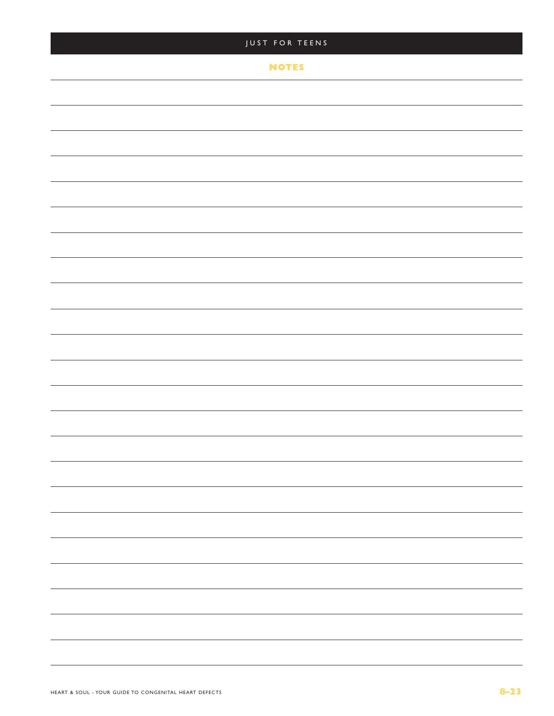| JUST FOR TEENS |                          |
|----------------|--------------------------|
| <b>NOTES</b>   |                          |
|                |                          |
|                |                          |
|                |                          |
|                |                          |
|                |                          |
|                |                          |
|                |                          |
|                |                          |
|                |                          |
|                |                          |
|                |                          |
|                |                          |
|                |                          |
|                |                          |
|                |                          |
|                | —                        |
|                | $\overline{\phantom{0}}$ |
|                |                          |
|                | —                        |
|                | —                        |
|                |                          |
|                | -                        |
|                |                          |